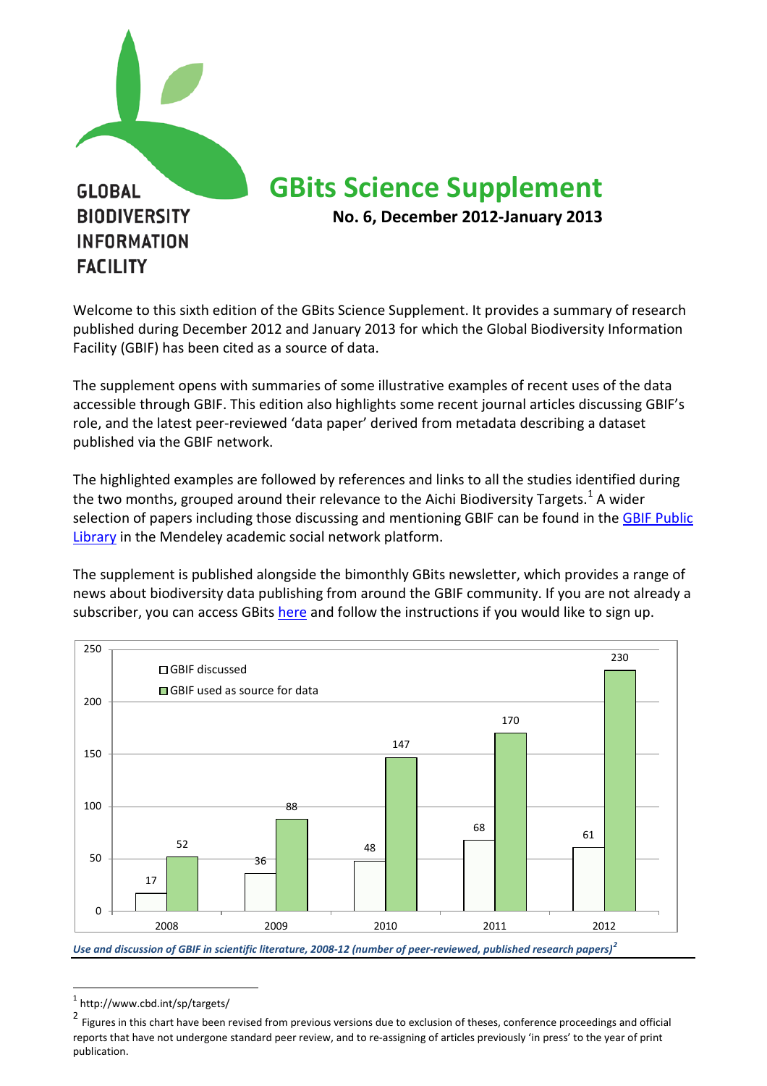

Welcome to this sixth edition of the GBits Science Supplement. It provides a summary of research published during December 2012 and January 2013 for which the Global Biodiversity Information Facility (GBIF) has been cited as a source of data.

The supplement opens with summaries of some illustrative examples of recent uses of the data accessible through GBIF. This edition also highlights some recent journal articles discussing GBIF's role, and the latest peer-reviewed 'data paper' derived from metadata describing a dataset published via the GBIF network.

The highlighted examples are followed by references and links to all the studies identified during the two months, grouped around their relevance to the Aichi Biodiversity Targets.<sup>[1](#page-0-0)</sup> A wider selection of papers including those discussing and mentioning GBIF can be found in the GBIF Public [Library](http://www.mendeley.com/groups/1068301/gbif-public-library/) in the Mendeley academic social network platform.

The supplement is published alongside the bimonthly GBits newsletter, which provides a range of news about biodiversity data publishing from around the GBIF community. If you are not already a subscriber, you can access GBit[s here](http://www.gbif.org/communications/resources/newsletters/) and follow the instructions if you would like to sign up.



*Use and discussion of GBIF in scientific literature, 2008-12 (number of peer-reviewed, published research papers)[2](#page-0-1)*

<span id="page-0-0"></span> <sup>1</sup> http://www.cbd.int/sp/targets/

<span id="page-0-1"></span><sup>&</sup>lt;sup>2</sup> Figures in this chart have been revised from previous versions due to exclusion of theses, conference proceedings and official reports that have not undergone standard peer review, and to re-assigning of articles previously 'in press' to the year of print publication.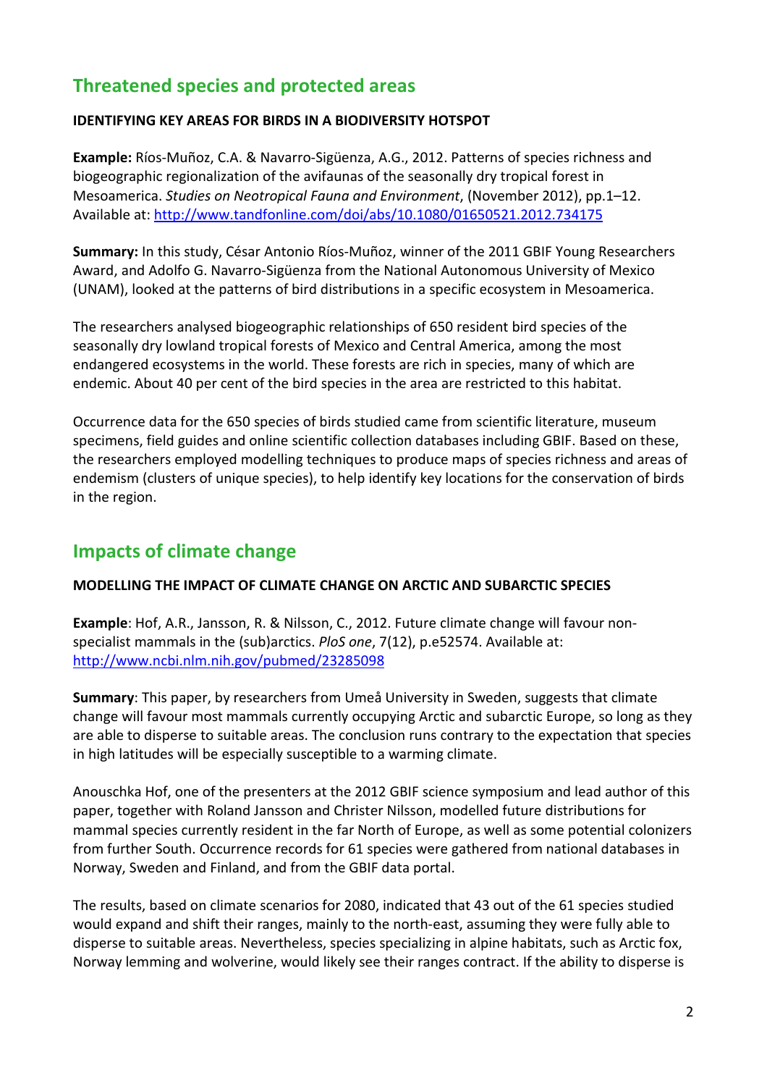# **Threatened species and protected areas**

#### **IDENTIFYING KEY AREAS FOR BIRDS IN A BIODIVERSITY HOTSPOT**

**Example:** Ríos-Muñoz, C.A. & Navarro-Sigüenza, A.G., 2012. Patterns of species richness and biogeographic regionalization of the avifaunas of the seasonally dry tropical forest in Mesoamerica. *Studies on Neotropical Fauna and Environment*, (November 2012), pp.1–12. Available at:<http://www.tandfonline.com/doi/abs/10.1080/01650521.2012.734175>

**Summary:** In this study, César Antonio Ríos-Muñoz, winner of the 2011 GBIF Young Researchers Award, and Adolfo G. Navarro-Sigüenza from the National Autonomous University of Mexico (UNAM), looked at the patterns of bird distributions in a specific ecosystem in Mesoamerica.

The researchers analysed biogeographic relationships of 650 resident bird species of the seasonally dry lowland tropical forests of Mexico and Central America, among the most endangered ecosystems in the world. These forests are rich in species, many of which are endemic. About 40 per cent of the bird species in the area are restricted to this habitat.

Occurrence data for the 650 species of birds studied came from scientific literature, museum specimens, field guides and online scientific collection databases including GBIF. Based on these, the researchers employed modelling techniques to produce maps of species richness and areas of endemism (clusters of unique species), to help identify key locations for the conservation of birds in the region.

### **Impacts of climate change**

### **MODELLING THE IMPACT OF CLIMATE CHANGE ON ARCTIC AND SUBARCTIC SPECIES**

**Example**: Hof, A.R., Jansson, R. & Nilsson, C., 2012. Future climate change will favour nonspecialist mammals in the (sub)arctics. *PloS one*, 7(12), p.e52574. Available at: <http://www.ncbi.nlm.nih.gov/pubmed/23285098>

**Summary**: This paper, by researchers from Umeå University in Sweden, suggests that climate change will favour most mammals currently occupying Arctic and subarctic Europe, so long as they are able to disperse to suitable areas. The conclusion runs contrary to the expectation that species in high latitudes will be especially susceptible to a warming climate.

Anouschka Hof, one of the presenters at the 2012 GBIF science symposium and lead author of this paper, together with Roland Jansson and Christer Nilsson, modelled future distributions for mammal species currently resident in the far North of Europe, as well as some potential colonizers from further South. Occurrence records for 61 species were gathered from national databases in Norway, Sweden and Finland, and from the GBIF data portal.

The results, based on climate scenarios for 2080, indicated that 43 out of the 61 species studied would expand and shift their ranges, mainly to the north-east, assuming they were fully able to disperse to suitable areas. Nevertheless, species specializing in alpine habitats, such as Arctic fox, Norway lemming and wolverine, would likely see their ranges contract. If the ability to disperse is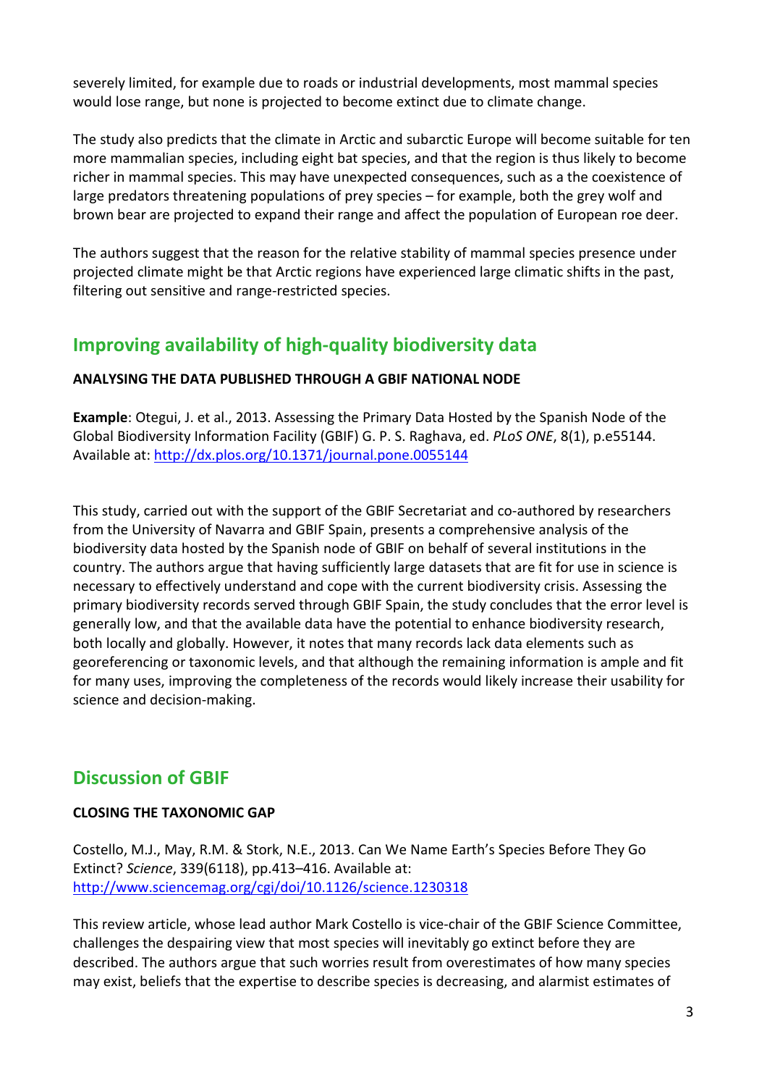severely limited, for example due to roads or industrial developments, most mammal species would lose range, but none is projected to become extinct due to climate change.

The study also predicts that the climate in Arctic and subarctic Europe will become suitable for ten more mammalian species, including eight bat species, and that the region is thus likely to become richer in mammal species. This may have unexpected consequences, such as a the coexistence of large predators threatening populations of prey species – for example, both the grey wolf and brown bear are projected to expand their range and affect the population of European roe deer.

The authors suggest that the reason for the relative stability of mammal species presence under projected climate might be that Arctic regions have experienced large climatic shifts in the past, filtering out sensitive and range-restricted species.

## **Improving availability of high-quality biodiversity data**

### **ANALYSING THE DATA PUBLISHED THROUGH A GBIF NATIONAL NODE**

**Example**: Otegui, J. et al., 2013. Assessing the Primary Data Hosted by the Spanish Node of the Global Biodiversity Information Facility (GBIF) G. P. S. Raghava, ed. *PLoS ONE*, 8(1), p.e55144. Available at:<http://dx.plos.org/10.1371/journal.pone.0055144>

This study, carried out with the support of the GBIF Secretariat and co-authored by researchers from the University of Navarra and GBIF Spain, presents a comprehensive analysis of the biodiversity data hosted by the Spanish node of GBIF on behalf of several institutions in the country. The authors argue that having sufficiently large datasets that are fit for use in science is necessary to effectively understand and cope with the current biodiversity crisis. Assessing the primary biodiversity records served through GBIF Spain, the study concludes that the error level is generally low, and that the available data have the potential to enhance biodiversity research, both locally and globally. However, it notes that many records lack data elements such as georeferencing or taxonomic levels, and that although the remaining information is ample and fit for many uses, improving the completeness of the records would likely increase their usability for science and decision-making.

### **Discussion of GBIF**

### **CLOSING THE TAXONOMIC GAP**

Costello, M.J., May, R.M. & Stork, N.E., 2013. Can We Name Earth's Species Before They Go Extinct? *Science*, 339(6118), pp.413–416. Available at: <http://www.sciencemag.org/cgi/doi/10.1126/science.1230318>

This review article, whose lead author Mark Costello is vice-chair of the GBIF Science Committee, challenges the despairing view that most species will inevitably go extinct before they are described. The authors argue that such worries result from overestimates of how many species may exist, beliefs that the expertise to describe species is decreasing, and alarmist estimates of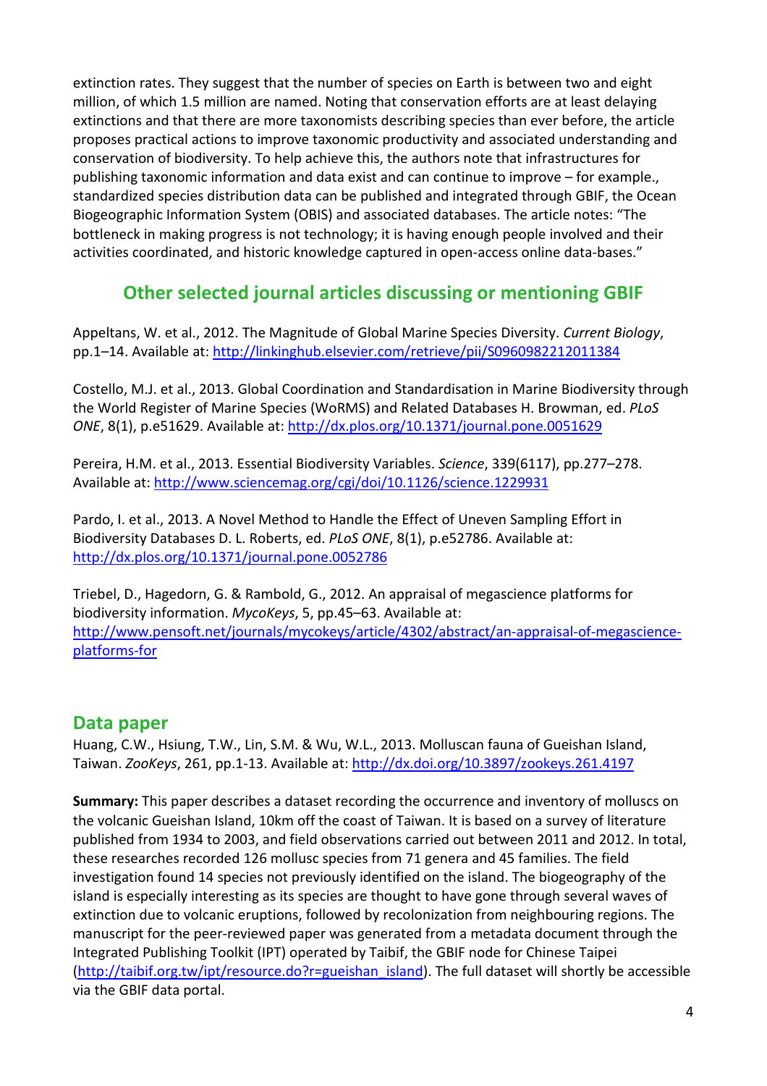extinction rates. They suggest that the number of species on Earth is between two and eight million, of which 1.5 million are named. Noting that conservation efforts are at least delaying extinctions and that there are more taxonomists describing species than ever before, the article proposes practical actions to improve taxonomic productivity and associated understanding and conservation of biodiversity. To help achieve this, the authors note that infrastructures for publishing taxonomic information and data exist and can continue to improve – for example., standardized species distribution data can be published and integrated through GBIF, the Ocean Biogeographic Information System (OBIS) and associated databases. The article notes: "The bottleneck in making progress is not technology; it is having enough people involved and their activities coordinated, and historic knowledge captured in open-access online data-bases."

# **Other selected journal articles discussing or mentioning GBIF**

Appeltans, W. et al., 2012. The Magnitude of Global Marine Species Diversity. *Current Biology*, pp.1–14. Available at:<http://linkinghub.elsevier.com/retrieve/pii/S0960982212011384>

Costello, M.J. et al., 2013. Global Coordination and Standardisation in Marine Biodiversity through the World Register of Marine Species (WoRMS) and Related Databases H. Browman, ed. *PLoS ONE*, 8(1), p.e51629. Available at:<http://dx.plos.org/10.1371/journal.pone.0051629>

Pereira, H.M. et al., 2013. Essential Biodiversity Variables. *Science*, 339(6117), pp.277–278. Available at:<http://www.sciencemag.org/cgi/doi/10.1126/science.1229931>

Pardo, I. et al., 2013. A Novel Method to Handle the Effect of Uneven Sampling Effort in Biodiversity Databases D. L. Roberts, ed. *PLoS ONE*, 8(1), p.e52786. Available at: <http://dx.plos.org/10.1371/journal.pone.0052786>

Triebel, D., Hagedorn, G. & Rambold, G., 2012. An appraisal of megascience platforms for biodiversity information. *MycoKeys*, 5, pp.45–63. Available at: [http://www.pensoft.net/journals/mycokeys/article/4302/abstract/an-appraisal-of-megascience](http://www.pensoft.net/journals/mycokeys/article/4302/abstract/an-appraisal-of-megascience-platforms-for)[platforms-for](http://www.pensoft.net/journals/mycokeys/article/4302/abstract/an-appraisal-of-megascience-platforms-for)

### **Data paper**

Huang, C.W., Hsiung, T.W., Lin, S.M. & Wu, W.L., 2013. Molluscan fauna of Gueishan Island, Taiwan. *ZooKeys*, 261, pp.1-13. Available at:<http://dx.doi.org/10.3897/zookeys.261.4197>

**Summary:** This paper describes a dataset recording the occurrence and inventory of molluscs on the volcanic Gueishan Island, 10km off the coast of Taiwan. It is based on a survey of literature published from 1934 to 2003, and field observations carried out between 2011 and 2012. In total, these researches recorded 126 mollusc species from 71 genera and 45 families. The field investigation found 14 species not previously identified on the island. The biogeography of the island is especially interesting as its species are thought to have gone through several waves of extinction due to volcanic eruptions, followed by recolonization from neighbouring regions. The manuscript for the peer-reviewed paper was generated from a metadata document through the Integrated Publishing Toolkit (IPT) operated by Taibif, the GBIF node for Chinese Taipei [\(http://taibif.org.tw/ipt/resource.do?r=gueishan\\_island\)](http://taibif.org.tw/ipt/resource.do?r=gueishan_island). The full dataset will shortly be accessible via the GBIF data portal.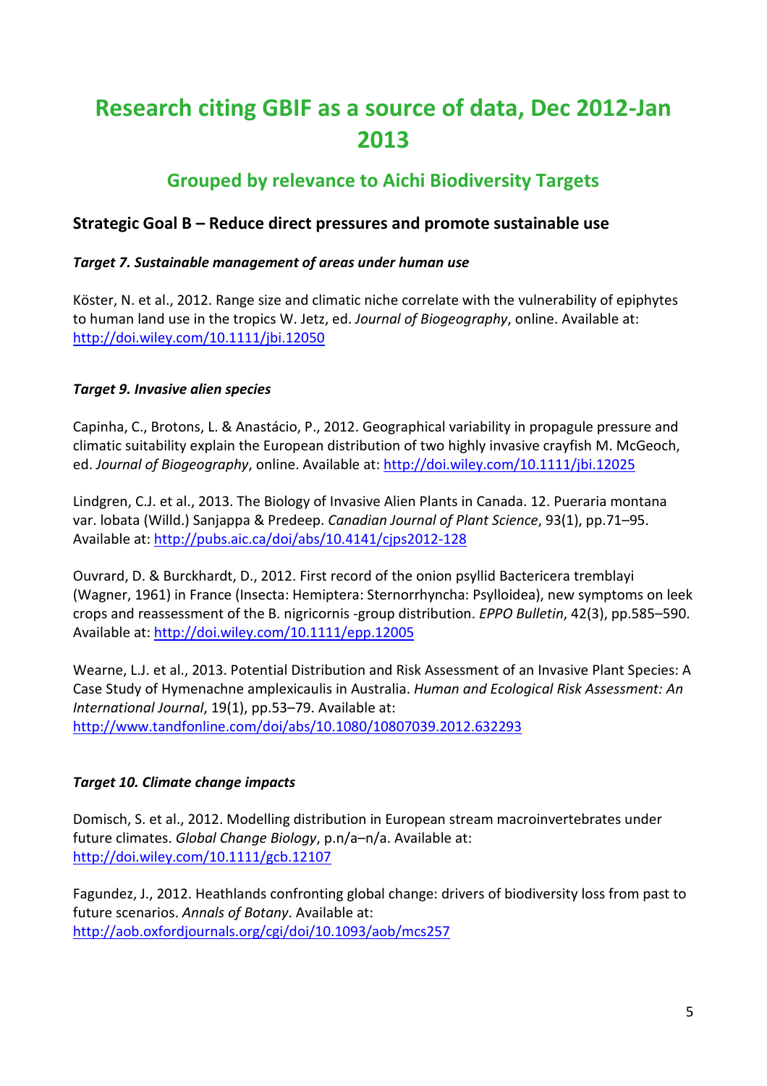# **Research citing GBIF as a source of data, Dec 2012-Jan 2013**

# **Grouped by relevance to Aichi Biodiversity Targets**

### **Strategic Goal B – Reduce direct pressures and promote sustainable use**

### *Target 7. Sustainable management of areas under human use*

Köster, N. et al., 2012. Range size and climatic niche correlate with the vulnerability of epiphytes to human land use in the tropics W. Jetz, ed. *Journal of Biogeography*, online. Available at: <http://doi.wiley.com/10.1111/jbi.12050>

### *Target 9. Invasive alien species*

Capinha, C., Brotons, L. & Anastácio, P., 2012. Geographical variability in propagule pressure and climatic suitability explain the European distribution of two highly invasive crayfish M. McGeoch, ed. *Journal of Biogeography*, online. Available at:<http://doi.wiley.com/10.1111/jbi.12025>

Lindgren, C.J. et al., 2013. The Biology of Invasive Alien Plants in Canada. 12. Pueraria montana var. lobata (Willd.) Sanjappa & Predeep. *Canadian Journal of Plant Science*, 93(1), pp.71–95. Available at:<http://pubs.aic.ca/doi/abs/10.4141/cjps2012-128>

Ouvrard, D. & Burckhardt, D., 2012. First record of the onion psyllid Bactericera tremblayi (Wagner, 1961) in France (Insecta: Hemiptera: Sternorrhyncha: Psylloidea), new symptoms on leek crops and reassessment of the B. nigricornis -group distribution. *EPPO Bulletin*, 42(3), pp.585–590. Available at:<http://doi.wiley.com/10.1111/epp.12005>

Wearne, L.J. et al., 2013. Potential Distribution and Risk Assessment of an Invasive Plant Species: A Case Study of Hymenachne amplexicaulis in Australia. *Human and Ecological Risk Assessment: An International Journal*, 19(1), pp.53–79. Available at: <http://www.tandfonline.com/doi/abs/10.1080/10807039.2012.632293>

### *Target 10. Climate change impacts*

Domisch, S. et al., 2012. Modelling distribution in European stream macroinvertebrates under future climates. *Global Change Biology*, p.n/a–n/a. Available at: <http://doi.wiley.com/10.1111/gcb.12107>

Fagundez, J., 2012. Heathlands confronting global change: drivers of biodiversity loss from past to future scenarios. *Annals of Botany*. Available at: <http://aob.oxfordjournals.org/cgi/doi/10.1093/aob/mcs257>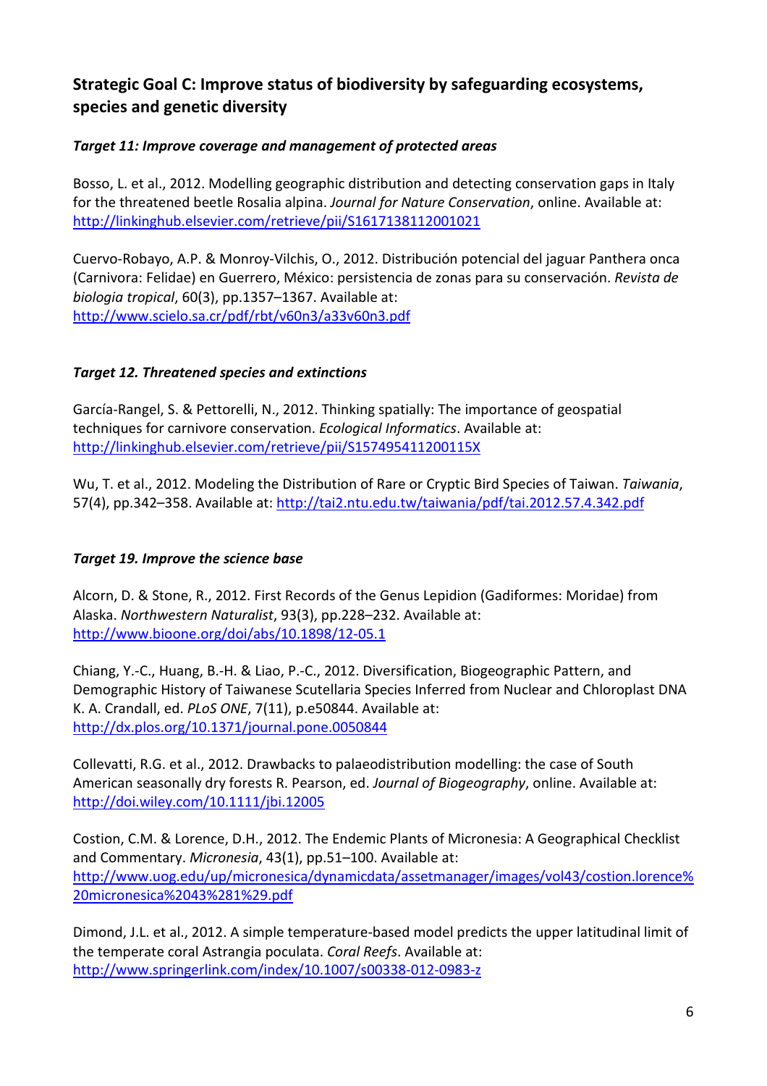### **Strategic Goal C: Improve status of biodiversity by safeguarding ecosystems, species and genetic diversity**

### *Target 11: Improve coverage and management of protected areas*

Bosso, L. et al., 2012. Modelling geographic distribution and detecting conservation gaps in Italy for the threatened beetle Rosalia alpina. *Journal for Nature Conservation*, online. Available at: <http://linkinghub.elsevier.com/retrieve/pii/S1617138112001021>

Cuervo-Robayo, A.P. & Monroy-Vilchis, O., 2012. Distribución potencial del jaguar Panthera onca (Carnivora: Felidae) en Guerrero, México: persistencia de zonas para su conservación. *Revista de biologia tropical*, 60(3), pp.1357–1367. Available at: <http://www.scielo.sa.cr/pdf/rbt/v60n3/a33v60n3.pdf>

### *Target 12. Threatened species and extinctions*

García-Rangel, S. & Pettorelli, N., 2012. Thinking spatially: The importance of geospatial techniques for carnivore conservation. *Ecological Informatics*. Available at: <http://linkinghub.elsevier.com/retrieve/pii/S157495411200115X>

Wu, T. et al., 2012. Modeling the Distribution of Rare or Cryptic Bird Species of Taiwan. *Taiwania*, 57(4), pp.342–358. Available at:<http://tai2.ntu.edu.tw/taiwania/pdf/tai.2012.57.4.342.pdf>

### *Target 19. Improve the science base*

Alcorn, D. & Stone, R., 2012. First Records of the Genus Lepidion (Gadiformes: Moridae) from Alaska. *Northwestern Naturalist*, 93(3), pp.228–232. Available at: <http://www.bioone.org/doi/abs/10.1898/12-05.1>

Chiang, Y.-C., Huang, B.-H. & Liao, P.-C., 2012. Diversification, Biogeographic Pattern, and Demographic History of Taiwanese Scutellaria Species Inferred from Nuclear and Chloroplast DNA K. A. Crandall, ed. *PLoS ONE*, 7(11), p.e50844. Available at: <http://dx.plos.org/10.1371/journal.pone.0050844>

Collevatti, R.G. et al., 2012. Drawbacks to palaeodistribution modelling: the case of South American seasonally dry forests R. Pearson, ed. *Journal of Biogeography*, online. Available at: <http://doi.wiley.com/10.1111/jbi.12005>

Costion, C.M. & Lorence, D.H., 2012. The Endemic Plants of Micronesia: A Geographical Checklist and Commentary. *Micronesia*, 43(1), pp.51–100. Available at: [http://www.uog.edu/up/micronesica/dynamicdata/assetmanager/images/vol43/costion.lorence%](http://www.uog.edu/up/micronesica/dynamicdata/assetmanager/images/vol43/costion.lorence%20micronesica%2043%281%29.pdf) [20micronesica%2043%281%29.pdf](http://www.uog.edu/up/micronesica/dynamicdata/assetmanager/images/vol43/costion.lorence%20micronesica%2043%281%29.pdf) 

Dimond, J.L. et al., 2012. A simple temperature-based model predicts the upper latitudinal limit of the temperate coral Astrangia poculata. *Coral Reefs*. Available at: <http://www.springerlink.com/index/10.1007/s00338-012-0983-z>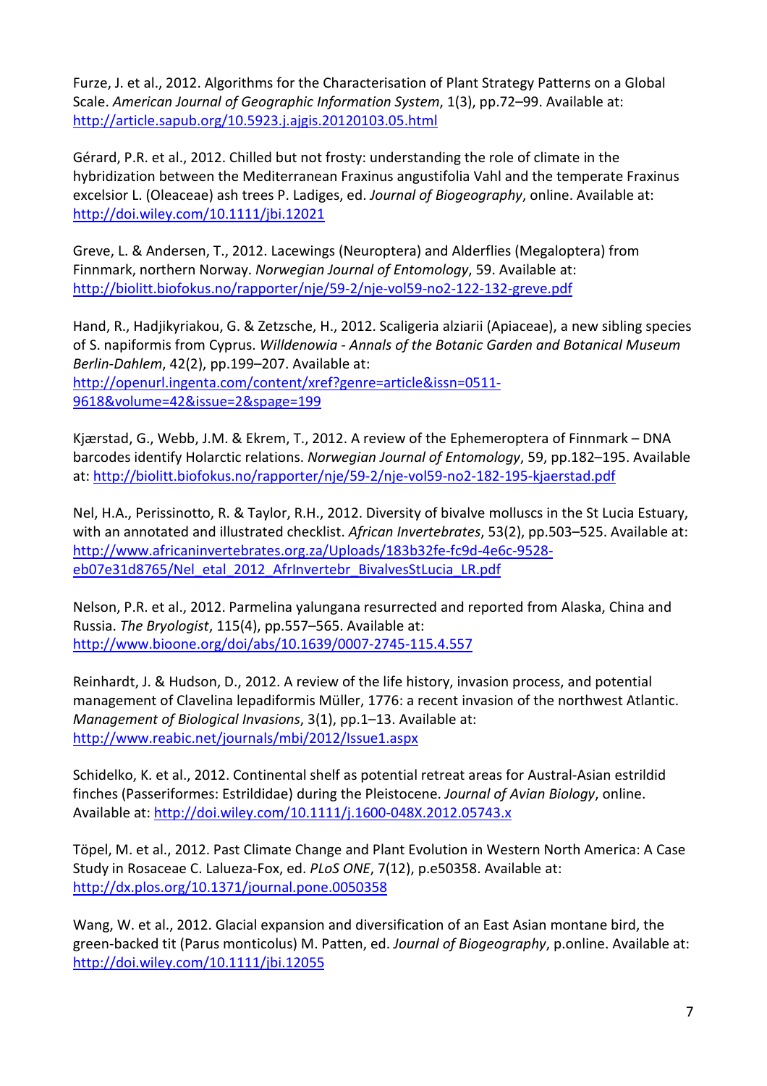Furze, J. et al., 2012. Algorithms for the Characterisation of Plant Strategy Patterns on a Global Scale. *American Journal of Geographic Information System*, 1(3), pp.72–99. Available at: <http://article.sapub.org/10.5923.j.ajgis.20120103.05.html>

Gérard, P.R. et al., 2012. Chilled but not frosty: understanding the role of climate in the hybridization between the Mediterranean Fraxinus angustifolia Vahl and the temperate Fraxinus excelsior L. (Oleaceae) ash trees P. Ladiges, ed. *Journal of Biogeography*, online. Available at: <http://doi.wiley.com/10.1111/jbi.12021>

Greve, L. & Andersen, T., 2012. Lacewings (Neuroptera) and Alderflies (Megaloptera) from Finnmark, northern Norway. *Norwegian Journal of Entomology*, 59. Available at: <http://biolitt.biofokus.no/rapporter/nje/59-2/nje-vol59-no2-122-132-greve.pdf>

Hand, R., Hadjikyriakou, G. & Zetzsche, H., 2012. Scaligeria alziarii (Apiaceae), a new sibling species of S. napiformis from Cyprus. *Willdenowia - Annals of the Botanic Garden and Botanical Museum Berlin-Dahlem*, 42(2), pp.199–207. Available at:

[http://openurl.ingenta.com/content/xref?genre=article&issn=0511-](http://openurl.ingenta.com/content/xref?genre=article&issn=0511-9618&volume=42&issue=2&spage=199) [9618&volume=42&issue=2&spage=199](http://openurl.ingenta.com/content/xref?genre=article&issn=0511-9618&volume=42&issue=2&spage=199)

Kjærstad, G., Webb, J.M. & Ekrem, T., 2012. A review of the Ephemeroptera of Finnmark – DNA barcodes identify Holarctic relations. *Norwegian Journal of Entomology*, 59, pp.182–195. Available at:<http://biolitt.biofokus.no/rapporter/nje/59-2/nje-vol59-no2-182-195-kjaerstad.pdf>

Nel, H.A., Perissinotto, R. & Taylor, R.H., 2012. Diversity of bivalve molluscs in the St Lucia Estuary, with an annotated and illustrated checklist. *African Invertebrates*, 53(2), pp.503–525. Available at: [http://www.africaninvertebrates.org.za/Uploads/183b32fe-fc9d-4e6c-9528](http://www.africaninvertebrates.org.za/Uploads/183b32fe-fc9d-4e6c-9528-eb07e31d8765/Nel_etal_2012_AfrInvertebr_BivalvesStLucia_LR.pdf) [eb07e31d8765/Nel\\_etal\\_2012\\_AfrInvertebr\\_BivalvesStLucia\\_LR.pdf](http://www.africaninvertebrates.org.za/Uploads/183b32fe-fc9d-4e6c-9528-eb07e31d8765/Nel_etal_2012_AfrInvertebr_BivalvesStLucia_LR.pdf)

Nelson, P.R. et al., 2012. Parmelina yalungana resurrected and reported from Alaska, China and Russia. *The Bryologist*, 115(4), pp.557–565. Available at: <http://www.bioone.org/doi/abs/10.1639/0007-2745-115.4.557>

Reinhardt, J. & Hudson, D., 2012. A review of the life history, invasion process, and potential management of Clavelina lepadiformis Müller, 1776: a recent invasion of the northwest Atlantic. *Management of Biological Invasions*, 3(1), pp.1–13. Available at: <http://www.reabic.net/journals/mbi/2012/Issue1.aspx>

Schidelko, K. et al., 2012. Continental shelf as potential retreat areas for Austral-Asian estrildid finches (Passeriformes: Estrildidae) during the Pleistocene. *Journal of Avian Biology*, online. Available at:<http://doi.wiley.com/10.1111/j.1600-048X.2012.05743.x>

Töpel, M. et al., 2012. Past Climate Change and Plant Evolution in Western North America: A Case Study in Rosaceae C. Lalueza-Fox, ed. *PLoS ONE*, 7(12), p.e50358. Available at: <http://dx.plos.org/10.1371/journal.pone.0050358>

Wang, W. et al., 2012. Glacial expansion and diversification of an East Asian montane bird, the green-backed tit (Parus monticolus) M. Patten, ed. *Journal of Biogeography*, p.online. Available at: <http://doi.wiley.com/10.1111/jbi.12055>